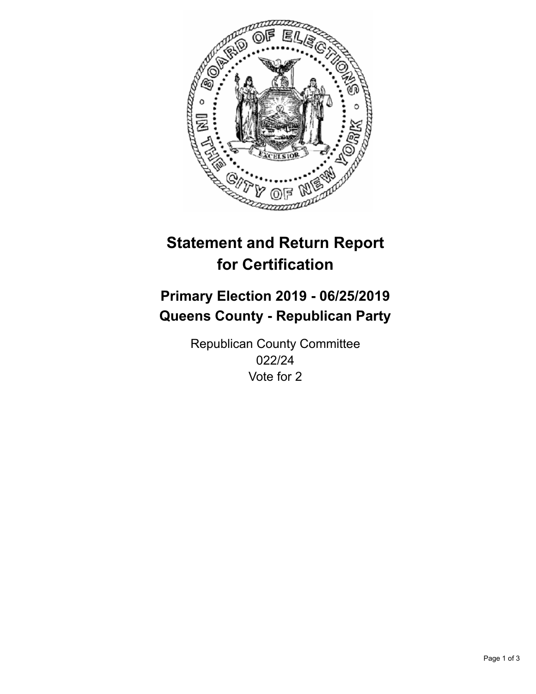

## **Statement and Return Report for Certification**

## **Primary Election 2019 - 06/25/2019 Queens County - Republican Party**

Republican County Committee 022/24 Vote for 2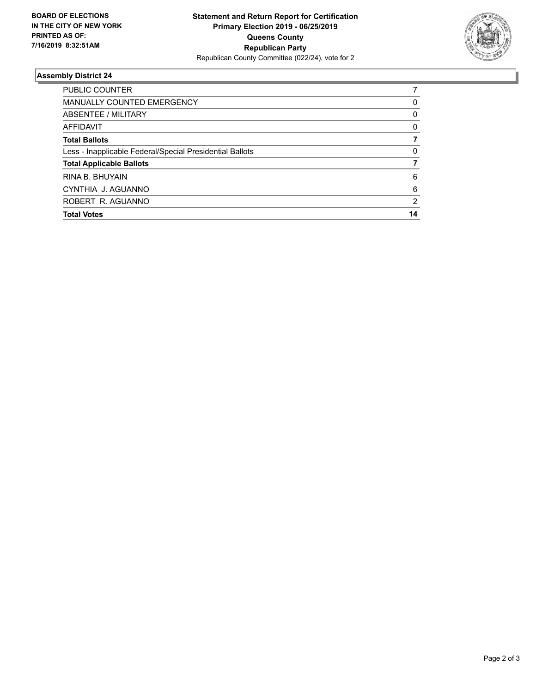

## **Assembly District 24**

| <b>Total Votes</b>                                       | 14            |
|----------------------------------------------------------|---------------|
| ROBERT R. AGUANNO                                        | $\mathcal{P}$ |
| CYNTHIA J. AGUANNO                                       | 6             |
| RINA B. BHUYAIN                                          | 6             |
| <b>Total Applicable Ballots</b>                          |               |
| Less - Inapplicable Federal/Special Presidential Ballots | 0             |
| <b>Total Ballots</b>                                     |               |
| AFFIDAVIT                                                | 0             |
| ABSENTEE / MILITARY                                      | 0             |
| <b>MANUALLY COUNTED EMERGENCY</b>                        | 0             |
| <b>PUBLIC COUNTER</b>                                    |               |